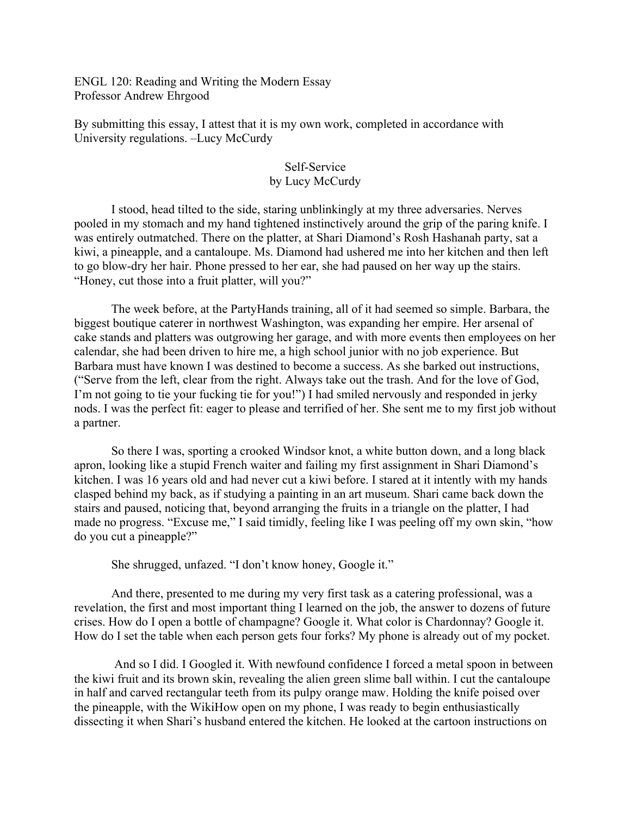ENGL 120: Reading and Writing the Modern Essay Professor Andrew Ehrgood

By submitting this essay, I attest that it is my own work, completed in accordance with University regulations. –Lucy McCurdy

## Self-Service by Lucy McCurdy

I stood, head tilted to the side, staring unblinkingly at my three adversaries. Nerves pooled in my stomach and my hand tightened instinctively around the grip of the paring knife. I was entirely outmatched. There on the platter, at Shari Diamond's Rosh Hashanah party, sat a kiwi, a pineapple, and a cantaloupe. Ms. Diamond had ushered me into her kitchen and then left to go blow-dry her hair. Phone pressed to her ear, she had paused on her way up the stairs. "Honey, cut those into a fruit platter, will you?"

 The week before, at the PartyHands training, all of it had seemed so simple. Barbara, the biggest boutique caterer in northwest Washington, was expanding her empire. Her arsenal of cake stands and platters was outgrowing her garage, and with more events then employees on her calendar, she had been driven to hire me, a high school junior with no job experience. But Barbara must have known I was destined to become a success. As she barked out instructions, ("Serve from the left, clear from the right. Always take out the trash. And for the love of God, I'm not going to tie your fucking tie for you!") I had smiled nervously and responded in jerky nods. I was the perfect fit: eager to please and terrified of her. She sent me to my first job without a partner.

 So there I was, sporting a crooked Windsor knot, a white button down, and a long black apron, looking like a stupid French waiter and failing my first assignment in Shari Diamond's kitchen. I was 16 years old and had never cut a kiwi before. I stared at it intently with my hands clasped behind my back, as if studying a painting in an art museum. Shari came back down the stairs and paused, noticing that, beyond arranging the fruits in a triangle on the platter, I had made no progress. "Excuse me," I said timidly, feeling like I was peeling off my own skin, "how do you cut a pineapple?"

She shrugged, unfazed. "I don't know honey, Google it."

 And there, presented to me during my very first task as a catering professional, was a revelation, the first and most important thing I learned on the job, the answer to dozens of future crises. How do I open a bottle of champagne? Google it. What color is Chardonnay? Google it. How do I set the table when each person gets four forks? My phone is already out of my pocket.

 And so I did. I Googled it. With newfound confidence I forced a metal spoon in between the kiwi fruit and its brown skin, revealing the alien green slime ball within. I cut the cantaloupe in half and carved rectangular teeth from its pulpy orange maw. Holding the knife poised over the pineapple, with the WikiHow open on my phone, I was ready to begin enthusiastically dissecting it when Shari's husband entered the kitchen. He looked at the cartoon instructions on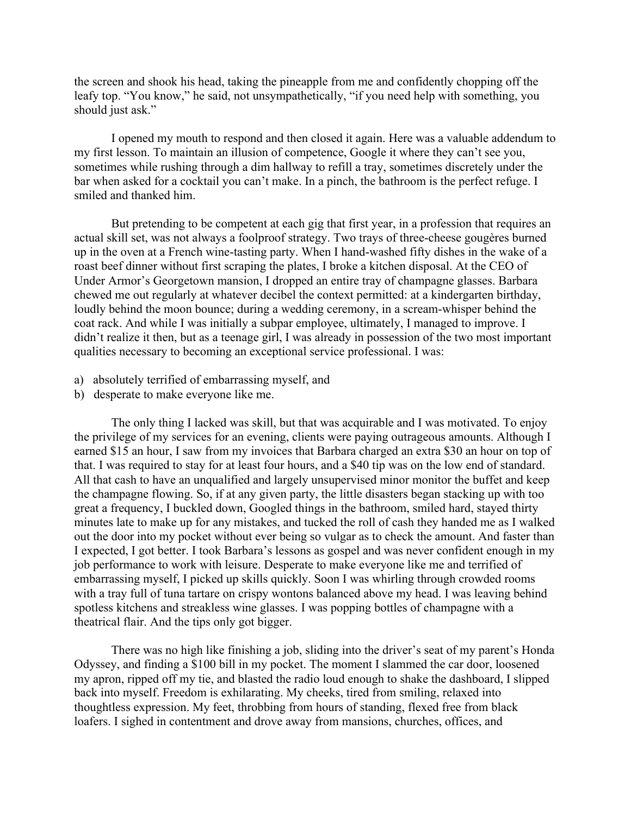the screen and shook his head, taking the pineapple from me and confidently chopping off the leafy top. "You know," he said, not unsympathetically, "if you need help with something, you should just ask."

 I opened my mouth to respond and then closed it again. Here was a valuable addendum to my first lesson. To maintain an illusion of competence, Google it where they can't see you, sometimes while rushing through a dim hallway to refill a tray, sometimes discretely under the bar when asked for a cocktail you can't make. In a pinch, the bathroom is the perfect refuge. I smiled and thanked him.

 But pretending to be competent at each gig that first year, in a profession that requires an actual skill set, was not always a foolproof strategy. Two trays of three-cheese gougères burned up in the oven at a French wine-tasting party. When I hand-washed fifty dishes in the wake of a roast beef dinner without first scraping the plates, I broke a kitchen disposal. At the CEO of Under Armor's Georgetown mansion, I dropped an entire tray of champagne glasses. Barbara chewed me out regularly at whatever decibel the context permitted: at a kindergarten birthday, loudly behind the moon bounce; during a wedding ceremony, in a scream-whisper behind the coat rack. And while I was initially a subpar employee, ultimately, I managed to improve. I didn't realize it then, but as a teenage girl, I was already in possession of the two most important qualities necessary to becoming an exceptional service professional. I was:

- a) absolutely terrified of embarrassing myself, and
- b) desperate to make everyone like me.

 The only thing I lacked was skill, but that was acquirable and I was motivated. To enjoy the privilege of my services for an evening, clients were paying outrageous amounts. Although I earned \$15 an hour, I saw from my invoices that Barbara charged an extra \$30 an hour on top of that. I was required to stay for at least four hours, and a \$40 tip was on the low end of standard. All that cash to have an unqualified and largely unsupervised minor monitor the buffet and keep the champagne flowing. So, if at any given party, the little disasters began stacking up with too great a frequency, I buckled down, Googled things in the bathroom, smiled hard, stayed thirty minutes late to make up for any mistakes, and tucked the roll of cash they handed me as I walked out the door into my pocket without ever being so vulgar as to check the amount. And faster than I expected, I got better. I took Barbara's lessons as gospel and was never confident enough in my job performance to work with leisure. Desperate to make everyone like me and terrified of embarrassing myself, I picked up skills quickly. Soon I was whirling through crowded rooms with a tray full of tuna tartare on crispy wontons balanced above my head. I was leaving behind spotless kitchens and streakless wine glasses. I was popping bottles of champagne with a theatrical flair. And the tips only got bigger.

 There was no high like finishing a job, sliding into the driver's seat of my parent's Honda Odyssey, and finding a \$100 bill in my pocket. The moment I slammed the car door, loosened my apron, ripped off my tie, and blasted the radio loud enough to shake the dashboard, I slipped back into myself. Freedom is exhilarating. My cheeks, tired from smiling, relaxed into thoughtless expression. My feet, throbbing from hours of standing, flexed free from black loafers. I sighed in contentment and drove away from mansions, churches, offices, and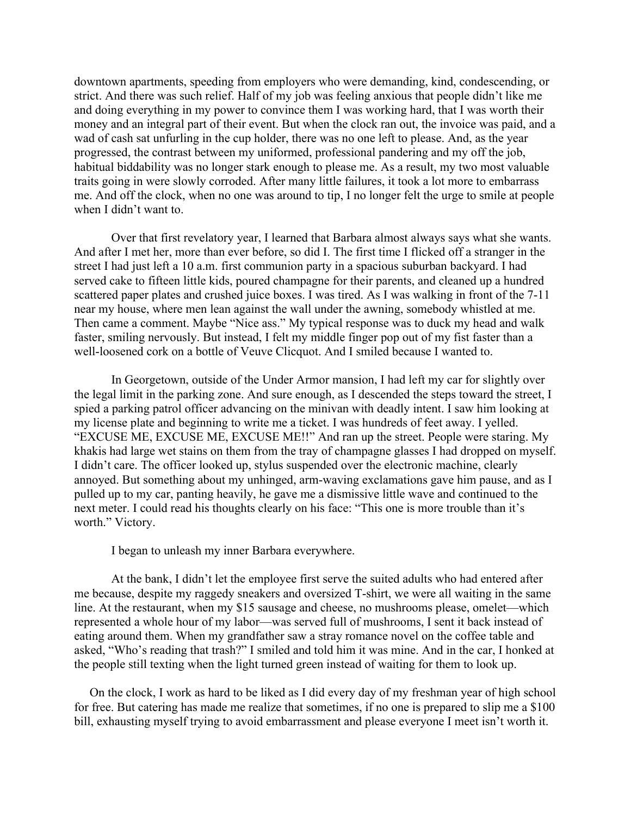downtown apartments, speeding from employers who were demanding, kind, condescending, or strict. And there was such relief. Half of my job was feeling anxious that people didn't like me and doing everything in my power to convince them I was working hard, that I was worth their money and an integral part of their event. But when the clock ran out, the invoice was paid, and a wad of cash sat unfurling in the cup holder, there was no one left to please. And, as the year progressed, the contrast between my uniformed, professional pandering and my off the job, habitual biddability was no longer stark enough to please me. As a result, my two most valuable traits going in were slowly corroded. After many little failures, it took a lot more to embarrass me. And off the clock, when no one was around to tip, I no longer felt the urge to smile at people when I didn't want to.

Over that first revelatory year, I learned that Barbara almost always says what she wants. And after I met her, more than ever before, so did I. The first time I flicked off a stranger in the street I had just left a 10 a.m. first communion party in a spacious suburban backyard. I had served cake to fifteen little kids, poured champagne for their parents, and cleaned up a hundred scattered paper plates and crushed juice boxes. I was tired. As I was walking in front of the 7-11 near my house, where men lean against the wall under the awning, somebody whistled at me. Then came a comment. Maybe "Nice ass." My typical response was to duck my head and walk faster, smiling nervously. But instead, I felt my middle finger pop out of my fist faster than a well-loosened cork on a bottle of Veuve Clicquot. And I smiled because I wanted to.

 In Georgetown, outside of the Under Armor mansion, I had left my car for slightly over the legal limit in the parking zone. And sure enough, as I descended the steps toward the street, I spied a parking patrol officer advancing on the minivan with deadly intent. I saw him looking at my license plate and beginning to write me a ticket. I was hundreds of feet away. I yelled. "EXCUSE ME, EXCUSE ME, EXCUSE ME!!" And ran up the street. People were staring. My khakis had large wet stains on them from the tray of champagne glasses I had dropped on myself. I didn't care. The officer looked up, stylus suspended over the electronic machine, clearly annoyed. But something about my unhinged, arm-waving exclamations gave him pause, and as I pulled up to my car, panting heavily, he gave me a dismissive little wave and continued to the next meter. I could read his thoughts clearly on his face: "This one is more trouble than it's worth." Victory.

I began to unleash my inner Barbara everywhere.

 At the bank, I didn't let the employee first serve the suited adults who had entered after me because, despite my raggedy sneakers and oversized T-shirt, we were all waiting in the same line. At the restaurant, when my \$15 sausage and cheese, no mushrooms please, omelet—which represented a whole hour of my labor—was served full of mushrooms, I sent it back instead of eating around them. When my grandfather saw a stray romance novel on the coffee table and asked, "Who's reading that trash?" I smiled and told him it was mine. And in the car, I honked at the people still texting when the light turned green instead of waiting for them to look up.

 On the clock, I work as hard to be liked as I did every day of my freshman year of high school for free. But catering has made me realize that sometimes, if no one is prepared to slip me a \$100 bill, exhausting myself trying to avoid embarrassment and please everyone I meet isn't worth it.